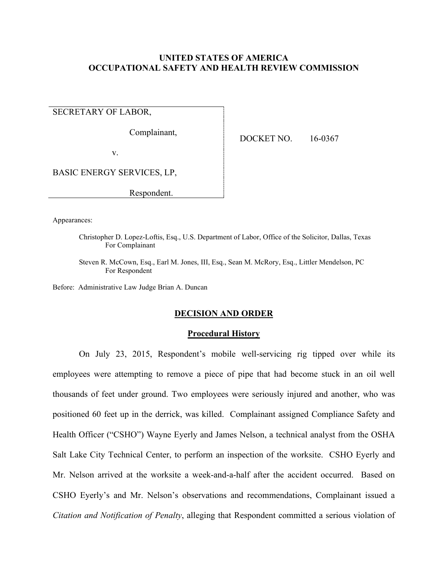# **UNITED STATES OF AMERICA OCCUPATIONAL SAFETY AND HEALTH REVIEW COMMISSION**

SECRETARY OF LABOR,

Complainant,

DOCKET NO. 16-0367

v.

BASIC ENERGY SERVICES, LP,

Respondent.

Appearances:

Christopher D. Lopez-Loftis, Esq., U.S. Department of Labor, Office of the Solicitor, Dallas, Texas For Complainant

Steven R. McCown, Esq., Earl M. Jones, III, Esq., Sean M. McRory, Esq., Littler Mendelson, PC For Respondent

Before: Administrative Law Judge Brian A. Duncan

# **DECISION AND ORDER**

## **Procedural History**

On July 23, 2015, Respondent's mobile well-servicing rig tipped over while its employees were attempting to remove a piece of pipe that had become stuck in an oil well thousands of feet under ground. Two employees were seriously injured and another, who was positioned 60 feet up in the derrick, was killed. Complainant assigned Compliance Safety and Health Officer ("CSHO") Wayne Eyerly and James Nelson, a technical analyst from the OSHA Salt Lake City Technical Center, to perform an inspection of the worksite. CSHO Eyerly and Mr. Nelson arrived at the worksite a week-and-a-half after the accident occurred. Based on CSHO Eyerly's and Mr. Nelson's observations and recommendations, Complainant issued a *Citation and Notification of Penalty*, alleging that Respondent committed a serious violation of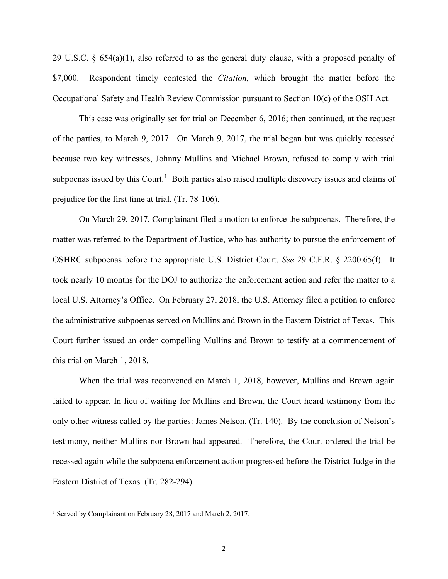29 U.S.C.  $\S 654(a)(1)$ , also referred to as the general duty clause, with a proposed penalty of \$7,000. Respondent timely contested the *Citation*, which brought the matter before the Occupational Safety and Health Review Commission pursuant to Section 10(c) of the OSH Act.

This case was originally set for trial on December 6, 2016; then continued, at the request of the parties, to March 9, 2017. On March 9, 2017, the trial began but was quickly recessed because two key witnesses, Johnny Mullins and Michael Brown, refused to comply with trial subpoenas issued by this Court.<sup>[1](#page-1-0)</sup> Both parties also raised multiple discovery issues and claims of prejudice for the first time at trial. (Tr. 78-106).

On March 29, 2017, Complainant filed a motion to enforce the subpoenas. Therefore, the matter was referred to the Department of Justice, who has authority to pursue the enforcement of OSHRC subpoenas before the appropriate U.S. District Court. *See* 29 C.F.R. § 2200.65(f). It took nearly 10 months for the DOJ to authorize the enforcement action and refer the matter to a local U.S. Attorney's Office. On February 27, 2018, the U.S. Attorney filed a petition to enforce the administrative subpoenas served on Mullins and Brown in the Eastern District of Texas. This Court further issued an order compelling Mullins and Brown to testify at a commencement of this trial on March 1, 2018.

When the trial was reconvened on March 1, 2018, however, Mullins and Brown again failed to appear. In lieu of waiting for Mullins and Brown, the Court heard testimony from the only other witness called by the parties: James Nelson. (Tr. 140). By the conclusion of Nelson's testimony, neither Mullins nor Brown had appeared. Therefore, the Court ordered the trial be recessed again while the subpoena enforcement action progressed before the District Judge in the Eastern District of Texas. (Tr. 282-294).

<span id="page-1-0"></span><sup>&</sup>lt;sup>1</sup> Served by Complainant on February 28, 2017 and March 2, 2017.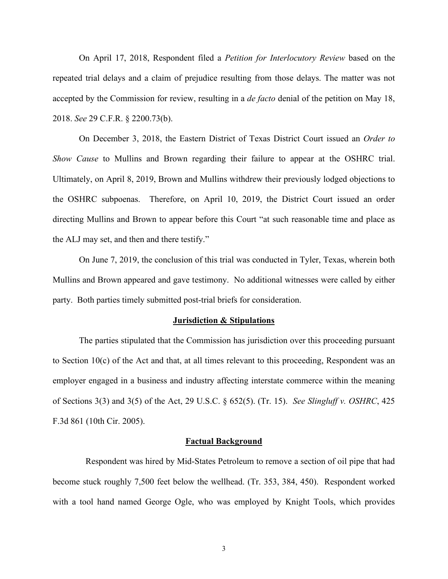On April 17, 2018, Respondent filed a *Petition for Interlocutory Review* based on the repeated trial delays and a claim of prejudice resulting from those delays. The matter was not accepted by the Commission for review, resulting in a *de facto* denial of the petition on May 18, 2018. *See* 29 C.F.R. § 2200.73(b).

On December 3, 2018, the Eastern District of Texas District Court issued an *Order to Show Cause* to Mullins and Brown regarding their failure to appear at the OSHRC trial. Ultimately, on April 8, 2019, Brown and Mullins withdrew their previously lodged objections to the OSHRC subpoenas. Therefore, on April 10, 2019, the District Court issued an order directing Mullins and Brown to appear before this Court "at such reasonable time and place as the ALJ may set, and then and there testify."

On June 7, 2019, the conclusion of this trial was conducted in Tyler, Texas, wherein both Mullins and Brown appeared and gave testimony. No additional witnesses were called by either party. Both parties timely submitted post-trial briefs for consideration.

### **Jurisdiction & Stipulations**

The parties stipulated that the Commission has jurisdiction over this proceeding pursuant to Section 10(c) of the Act and that, at all times relevant to this proceeding, Respondent was an employer engaged in a business and industry affecting interstate commerce within the meaning of Sections 3(3) and 3(5) of the Act, 29 U.S.C. § 652(5). (Tr. 15). *See Slingluff v. OSHRC*, 425 F.3d 861 (10th Cir. 2005).

## **Factual Background**

 Respondent was hired by Mid-States Petroleum to remove a section of oil pipe that had become stuck roughly 7,500 feet below the wellhead. (Tr. 353, 384, 450). Respondent worked with a tool hand named George Ogle, who was employed by Knight Tools, which provides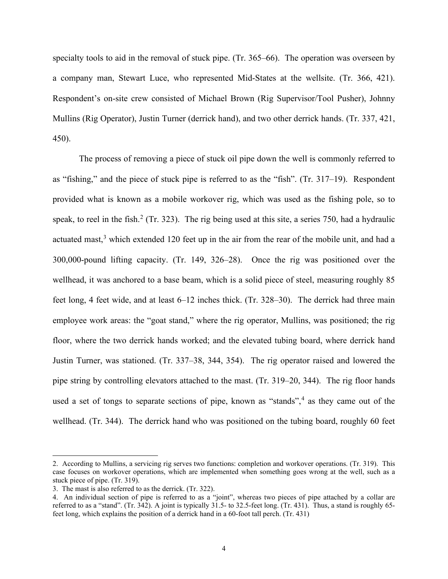specialty tools to aid in the removal of stuck pipe. (Tr. 365–66). The operation was overseen by a company man, Stewart Luce, who represented Mid-States at the wellsite. (Tr. 366, 421). Respondent's on-site crew consisted of Michael Brown (Rig Supervisor/Tool Pusher), Johnny Mullins (Rig Operator), Justin Turner (derrick hand), and two other derrick hands. (Tr. 337, 421, 450).

The process of removing a piece of stuck oil pipe down the well is commonly referred to as "fishing," and the piece of stuck pipe is referred to as the "fish". (Tr. 317–19). Respondent provided what is known as a mobile workover rig, which was used as the fishing pole, so to speak, to reel in the fish.<sup>[2](#page-3-0)</sup> (Tr. 323). The rig being used at this site, a series 750, had a hydraulic actuated mast,<sup>[3](#page-3-1)</sup> which extended 120 feet up in the air from the rear of the mobile unit, and had a 300,000-pound lifting capacity. (Tr. 149, 326–28). Once the rig was positioned over the wellhead, it was anchored to a base beam, which is a solid piece of steel, measuring roughly 85 feet long, 4 feet wide, and at least 6–12 inches thick. (Tr. 328–30). The derrick had three main employee work areas: the "goat stand," where the rig operator, Mullins, was positioned; the rig floor, where the two derrick hands worked; and the elevated tubing board, where derrick hand Justin Turner, was stationed. (Tr. 337–38, 344, 354). The rig operator raised and lowered the pipe string by controlling elevators attached to the mast. (Tr. 319–20, 344). The rig floor hands used a set of tongs to separate sections of pipe, known as "stands",  $4$  as they came out of the wellhead. (Tr. 344). The derrick hand who was positioned on the tubing board, roughly 60 feet

<span id="page-3-0"></span><sup>2.</sup> According to Mullins, a servicing rig serves two functions: completion and workover operations. (Tr. 319). This case focuses on workover operations, which are implemented when something goes wrong at the well, such as a stuck piece of pipe. (Tr. 319).

<span id="page-3-1"></span><sup>3.</sup> The mast is also referred to as the derrick. (Tr. 322).

<span id="page-3-2"></span><sup>4.</sup> An individual section of pipe is referred to as a "joint", whereas two pieces of pipe attached by a collar are referred to as a "stand". (Tr. 342). A joint is typically 31.5- to 32.5-feet long. (Tr. 431). Thus, a stand is roughly 65feet long, which explains the position of a derrick hand in a 60-foot tall perch. (Tr. 431)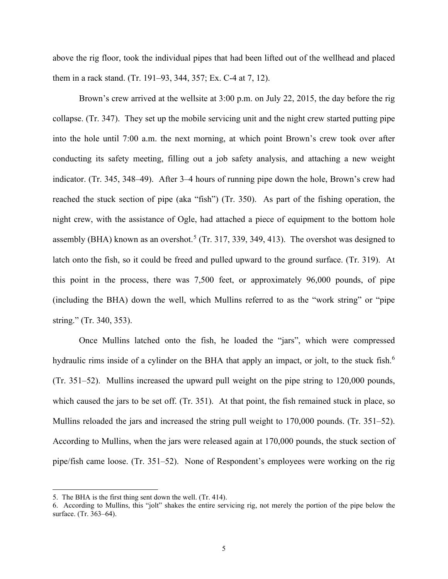above the rig floor, took the individual pipes that had been lifted out of the wellhead and placed them in a rack stand. (Tr. 191–93, 344, 357; Ex. C-4 at 7, 12).

Brown's crew arrived at the wellsite at 3:00 p.m. on July 22, 2015, the day before the rig collapse. (Tr. 347). They set up the mobile servicing unit and the night crew started putting pipe into the hole until 7:00 a.m. the next morning, at which point Brown's crew took over after conducting its safety meeting, filling out a job safety analysis, and attaching a new weight indicator. (Tr. 345, 348–49). After 3–4 hours of running pipe down the hole, Brown's crew had reached the stuck section of pipe (aka "fish") (Tr. 350). As part of the fishing operation, the night crew, with the assistance of Ogle, had attached a piece of equipment to the bottom hole assembly (BHA) known as an overshot.<sup>[5](#page-4-0)</sup> (Tr. 317, 339, 349, 413). The overshot was designed to latch onto the fish, so it could be freed and pulled upward to the ground surface. (Tr. 319). At this point in the process, there was 7,500 feet, or approximately 96,000 pounds, of pipe (including the BHA) down the well, which Mullins referred to as the "work string" or "pipe string." (Tr. 340, 353).

Once Mullins latched onto the fish, he loaded the "jars", which were compressed hydraulic rims inside of a cylinder on the BHA that apply an impact, or jolt, to the stuck fish.<sup>[6](#page-4-1)</sup> (Tr. 351–52). Mullins increased the upward pull weight on the pipe string to 120,000 pounds, which caused the jars to be set off. (Tr. 351). At that point, the fish remained stuck in place, so Mullins reloaded the jars and increased the string pull weight to 170,000 pounds. (Tr. 351–52). According to Mullins, when the jars were released again at 170,000 pounds, the stuck section of pipe/fish came loose. (Tr. 351–52). None of Respondent's employees were working on the rig

<span id="page-4-0"></span><sup>5.</sup> The BHA is the first thing sent down the well. (Tr. 414).

<span id="page-4-1"></span><sup>6.</sup> According to Mullins, this "jolt" shakes the entire servicing rig, not merely the portion of the pipe below the surface. (Tr. 363–64).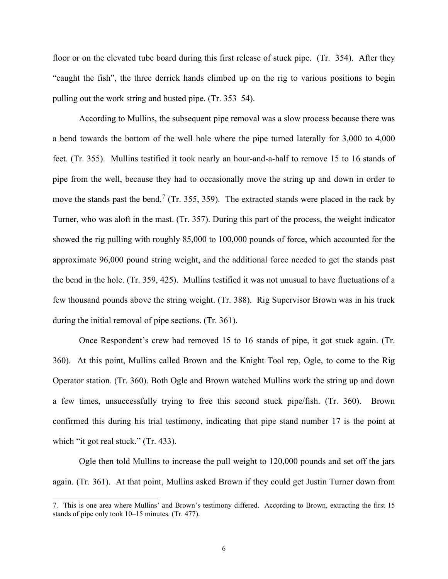floor or on the elevated tube board during this first release of stuck pipe. (Tr. 354). After they "caught the fish", the three derrick hands climbed up on the rig to various positions to begin pulling out the work string and busted pipe. (Tr. 353–54).

According to Mullins, the subsequent pipe removal was a slow process because there was a bend towards the bottom of the well hole where the pipe turned laterally for 3,000 to 4,000 feet. (Tr. 355). Mullins testified it took nearly an hour-and-a-half to remove 15 to 16 stands of pipe from the well, because they had to occasionally move the string up and down in order to move the stands past the bend.<sup>[7](#page-5-0)</sup> (Tr. 355, 359). The extracted stands were placed in the rack by Turner, who was aloft in the mast. (Tr. 357). During this part of the process, the weight indicator showed the rig pulling with roughly 85,000 to 100,000 pounds of force, which accounted for the approximate 96,000 pound string weight, and the additional force needed to get the stands past the bend in the hole. (Tr. 359, 425). Mullins testified it was not unusual to have fluctuations of a few thousand pounds above the string weight. (Tr. 388). Rig Supervisor Brown was in his truck during the initial removal of pipe sections. (Tr. 361).

Once Respondent's crew had removed 15 to 16 stands of pipe, it got stuck again. (Tr. 360). At this point, Mullins called Brown and the Knight Tool rep, Ogle, to come to the Rig Operator station. (Tr. 360). Both Ogle and Brown watched Mullins work the string up and down a few times, unsuccessfully trying to free this second stuck pipe/fish. (Tr. 360). Brown confirmed this during his trial testimony, indicating that pipe stand number 17 is the point at which "it got real stuck." (Tr. 433).

Ogle then told Mullins to increase the pull weight to 120,000 pounds and set off the jars again. (Tr. 361). At that point, Mullins asked Brown if they could get Justin Turner down from

<span id="page-5-0"></span><sup>7.</sup> This is one area where Mullins' and Brown's testimony differed. According to Brown, extracting the first 15 stands of pipe only took 10–15 minutes. (Tr. 477).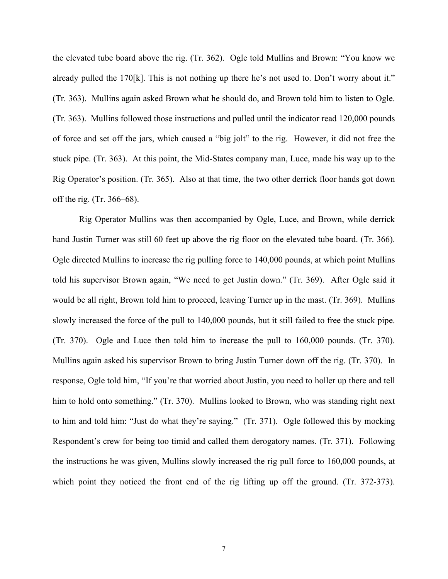the elevated tube board above the rig. (Tr. 362). Ogle told Mullins and Brown: "You know we already pulled the 170[k]. This is not nothing up there he's not used to. Don't worry about it." (Tr. 363). Mullins again asked Brown what he should do, and Brown told him to listen to Ogle. (Tr. 363). Mullins followed those instructions and pulled until the indicator read 120,000 pounds of force and set off the jars, which caused a "big jolt" to the rig. However, it did not free the stuck pipe. (Tr. 363). At this point, the Mid-States company man, Luce, made his way up to the Rig Operator's position. (Tr. 365). Also at that time, the two other derrick floor hands got down off the rig. (Tr. 366–68).

Rig Operator Mullins was then accompanied by Ogle, Luce, and Brown, while derrick hand Justin Turner was still 60 feet up above the rig floor on the elevated tube board. (Tr. 366). Ogle directed Mullins to increase the rig pulling force to 140,000 pounds, at which point Mullins told his supervisor Brown again, "We need to get Justin down." (Tr. 369). After Ogle said it would be all right, Brown told him to proceed, leaving Turner up in the mast. (Tr. 369). Mullins slowly increased the force of the pull to 140,000 pounds, but it still failed to free the stuck pipe. (Tr. 370). Ogle and Luce then told him to increase the pull to 160,000 pounds. (Tr. 370). Mullins again asked his supervisor Brown to bring Justin Turner down off the rig. (Tr. 370). In response, Ogle told him, "If you're that worried about Justin, you need to holler up there and tell him to hold onto something." (Tr. 370). Mullins looked to Brown, who was standing right next to him and told him: "Just do what they're saying." (Tr. 371). Ogle followed this by mocking Respondent's crew for being too timid and called them derogatory names. (Tr. 371). Following the instructions he was given, Mullins slowly increased the rig pull force to 160,000 pounds, at which point they noticed the front end of the rig lifting up off the ground. (Tr. 372-373).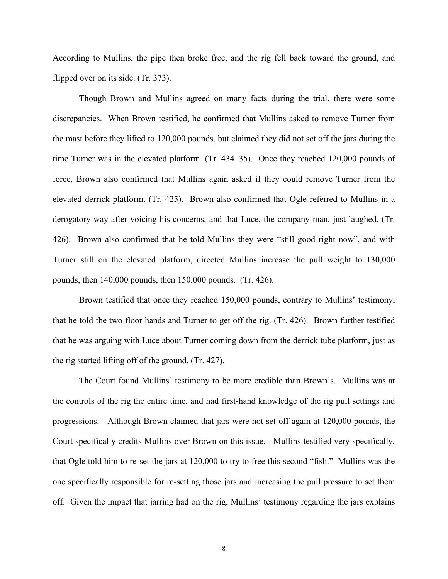According to Mullins, the pipe then broke free, and the rig fell back toward the ground, and flipped over on its side. (Tr. 373).

Though Brown and Mullins agreed on many facts during the trial, there were some discrepancies. When Brown testified, he confirmed that Mullins asked to remove Turner from the mast before they lifted to 120,000 pounds, but claimed they did not set off the jars during the time Turner was in the elevated platform. (Tr. 434–35). Once they reached 120,000 pounds of force, Brown also confirmed that Mullins again asked if they could remove Turner from the elevated derrick platform. (Tr. 425). Brown also confirmed that Ogle referred to Mullins in a derogatory way after voicing his concerns, and that Luce, the company man, just laughed. (Tr. 426). Brown also confirmed that he told Mullins they were "still good right now", and with Turner still on the elevated platform, directed Mullins increase the pull weight to 130,000 pounds, then 140,000 pounds, then 150,000 pounds. (Tr. 426).

Brown testified that once they reached 150,000 pounds, contrary to Mullins' testimony, that he told the two floor hands and Turner to get off the rig. (Tr. 426). Brown further testified that he was arguing with Luce about Turner coming down from the derrick tube platform, just as the rig started lifting off of the ground. (Tr. 427).

 The Court found Mullins' testimony to be more credible than Brown's. Mullins was at the controls of the rig the entire time, and had first-hand knowledge of the rig pull settings and progressions. Although Brown claimed that jars were not set off again at 120,000 pounds, the Court specifically credits Mullins over Brown on this issue. Mullins testified very specifically, that Ogle told him to re-set the jars at 120,000 to try to free this second "fish." Mullins was the one specifically responsible for re-setting those jars and increasing the pull pressure to set them off. Given the impact that jarring had on the rig, Mullins' testimony regarding the jars explains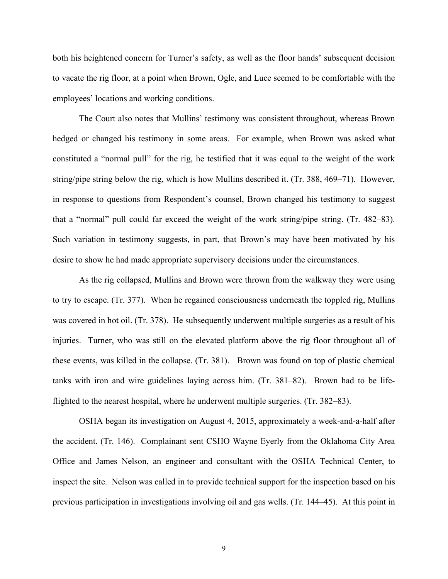both his heightened concern for Turner's safety, as well as the floor hands' subsequent decision to vacate the rig floor, at a point when Brown, Ogle, and Luce seemed to be comfortable with the employees' locations and working conditions.

The Court also notes that Mullins' testimony was consistent throughout, whereas Brown hedged or changed his testimony in some areas. For example, when Brown was asked what constituted a "normal pull" for the rig, he testified that it was equal to the weight of the work string/pipe string below the rig, which is how Mullins described it. (Tr. 388, 469–71). However, in response to questions from Respondent's counsel, Brown changed his testimony to suggest that a "normal" pull could far exceed the weight of the work string/pipe string. (Tr. 482–83). Such variation in testimony suggests, in part, that Brown's may have been motivated by his desire to show he had made appropriate supervisory decisions under the circumstances.

As the rig collapsed, Mullins and Brown were thrown from the walkway they were using to try to escape. (Tr. 377). When he regained consciousness underneath the toppled rig, Mullins was covered in hot oil. (Tr. 378). He subsequently underwent multiple surgeries as a result of his injuries. Turner, who was still on the elevated platform above the rig floor throughout all of these events, was killed in the collapse. (Tr. 381). Brown was found on top of plastic chemical tanks with iron and wire guidelines laying across him. (Tr. 381–82). Brown had to be lifeflighted to the nearest hospital, where he underwent multiple surgeries. (Tr. 382–83).

OSHA began its investigation on August 4, 2015, approximately a week-and-a-half after the accident. (Tr. 146). Complainant sent CSHO Wayne Eyerly from the Oklahoma City Area Office and James Nelson, an engineer and consultant with the OSHA Technical Center, to inspect the site. Nelson was called in to provide technical support for the inspection based on his previous participation in investigations involving oil and gas wells. (Tr. 144–45). At this point in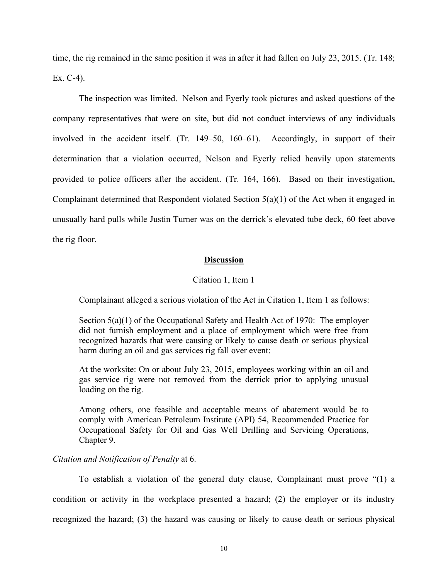time, the rig remained in the same position it was in after it had fallen on July 23, 2015. (Tr. 148; Ex. C-4).

The inspection was limited. Nelson and Eyerly took pictures and asked questions of the company representatives that were on site, but did not conduct interviews of any individuals involved in the accident itself. (Tr. 149–50, 160–61). Accordingly, in support of their determination that a violation occurred, Nelson and Eyerly relied heavily upon statements provided to police officers after the accident. (Tr. 164, 166). Based on their investigation, Complainant determined that Respondent violated Section 5(a)(1) of the Act when it engaged in unusually hard pulls while Justin Turner was on the derrick's elevated tube deck, 60 feet above the rig floor.

# **Discussion**

## Citation 1, Item 1

Complainant alleged a serious violation of the Act in Citation 1, Item 1 as follows:

Section 5(a)(1) of the Occupational Safety and Health Act of 1970: The employer did not furnish employment and a place of employment which were free from recognized hazards that were causing or likely to cause death or serious physical harm during an oil and gas services rig fall over event:

At the worksite: On or about July 23, 2015, employees working within an oil and gas service rig were not removed from the derrick prior to applying unusual loading on the rig.

Among others, one feasible and acceptable means of abatement would be to comply with American Petroleum Institute (API) 54, Recommended Practice for Occupational Safety for Oil and Gas Well Drilling and Servicing Operations, Chapter 9.

## *Citation and Notification of Penalty* at 6.

To establish a violation of the general duty clause, Complainant must prove "(1) a condition or activity in the workplace presented a hazard; (2) the employer or its industry recognized the hazard; (3) the hazard was causing or likely to cause death or serious physical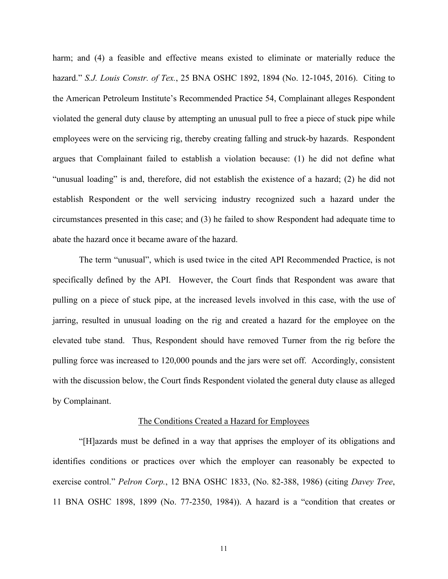harm; and (4) a feasible and effective means existed to eliminate or materially reduce the hazard." *S.J. Louis Constr. of Tex.*, 25 BNA OSHC 1892, 1894 (No. 12-1045, 2016). Citing to the American Petroleum Institute's Recommended Practice 54, Complainant alleges Respondent violated the general duty clause by attempting an unusual pull to free a piece of stuck pipe while employees were on the servicing rig, thereby creating falling and struck-by hazards. Respondent argues that Complainant failed to establish a violation because: (1) he did not define what "unusual loading" is and, therefore, did not establish the existence of a hazard; (2) he did not establish Respondent or the well servicing industry recognized such a hazard under the circumstances presented in this case; and (3) he failed to show Respondent had adequate time to abate the hazard once it became aware of the hazard.

 The term "unusual", which is used twice in the cited API Recommended Practice, is not specifically defined by the API. However, the Court finds that Respondent was aware that pulling on a piece of stuck pipe, at the increased levels involved in this case, with the use of jarring, resulted in unusual loading on the rig and created a hazard for the employee on the elevated tube stand. Thus, Respondent should have removed Turner from the rig before the pulling force was increased to 120,000 pounds and the jars were set off. Accordingly, consistent with the discussion below, the Court finds Respondent violated the general duty clause as alleged by Complainant.

### The Conditions Created a Hazard for Employees

"[H]azards must be defined in a way that apprises the employer of its obligations and identifies conditions or practices over which the employer can reasonably be expected to exercise control." *Pelron Corp.*, 12 BNA OSHC 1833, (No. 82-388, 1986) (citing *Davey Tree*, 11 BNA OSHC 1898, 1899 (No. 77-2350, 1984)). A hazard is a "condition that creates or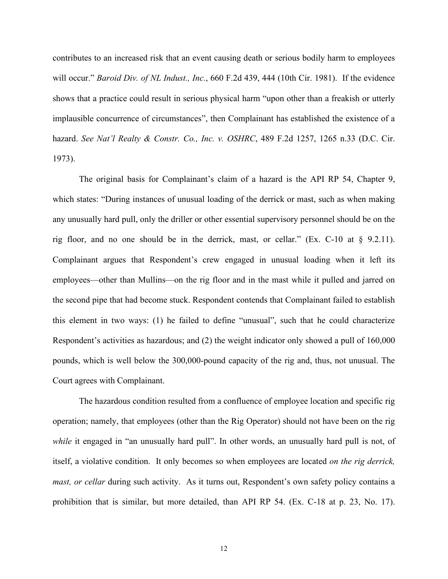contributes to an increased risk that an event causing death or serious bodily harm to employees will occur." *Baroid Div. of NL Indust., Inc.*, 660 F.2d 439, 444 (10th Cir. 1981). If the evidence shows that a practice could result in serious physical harm "upon other than a freakish or utterly implausible concurrence of circumstances", then Complainant has established the existence of a hazard. *See Nat'l Realty & Constr. Co., Inc. v. OSHRC*, 489 F.2d 1257, 1265 n.33 (D.C. Cir. 1973).

The original basis for Complainant's claim of a hazard is the API RP 54, Chapter 9, which states: "During instances of unusual loading of the derrick or mast, such as when making any unusually hard pull, only the driller or other essential supervisory personnel should be on the rig floor, and no one should be in the derrick, mast, or cellar." (Ex. C-10 at § 9.2.11). Complainant argues that Respondent's crew engaged in unusual loading when it left its employees—other than Mullins—on the rig floor and in the mast while it pulled and jarred on the second pipe that had become stuck. Respondent contends that Complainant failed to establish this element in two ways: (1) he failed to define "unusual", such that he could characterize Respondent's activities as hazardous; and (2) the weight indicator only showed a pull of 160,000 pounds, which is well below the 300,000-pound capacity of the rig and, thus, not unusual. The Court agrees with Complainant.

The hazardous condition resulted from a confluence of employee location and specific rig operation; namely, that employees (other than the Rig Operator) should not have been on the rig while it engaged in "an unusually hard pull". In other words, an unusually hard pull is not, of itself, a violative condition. It only becomes so when employees are located *on the rig derrick, mast, or cellar* during such activity. As it turns out, Respondent's own safety policy contains a prohibition that is similar, but more detailed, than API RP 54. (Ex. C-18 at p. 23, No. 17).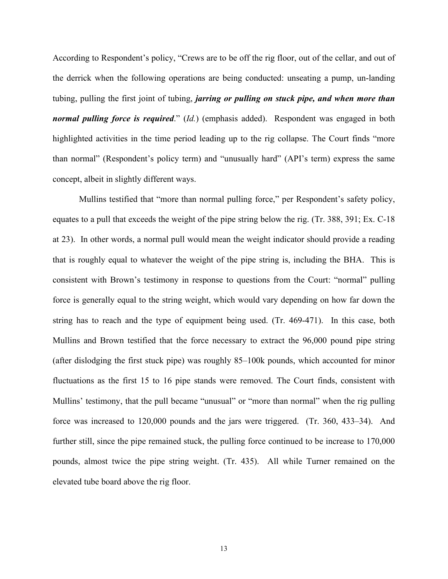According to Respondent's policy, "Crews are to be off the rig floor, out of the cellar, and out of the derrick when the following operations are being conducted: unseating a pump, un-landing tubing, pulling the first joint of tubing, *jarring or pulling on stuck pipe, and when more than normal pulling force is required*." (*Id.*) (emphasis added). Respondent was engaged in both highlighted activities in the time period leading up to the rig collapse. The Court finds "more than normal" (Respondent's policy term) and "unusually hard" (API's term) express the same concept, albeit in slightly different ways.

Mullins testified that "more than normal pulling force," per Respondent's safety policy, equates to a pull that exceeds the weight of the pipe string below the rig. (Tr. 388, 391; Ex. C-18 at 23). In other words, a normal pull would mean the weight indicator should provide a reading that is roughly equal to whatever the weight of the pipe string is, including the BHA. This is consistent with Brown's testimony in response to questions from the Court: "normal" pulling force is generally equal to the string weight, which would vary depending on how far down the string has to reach and the type of equipment being used. (Tr. 469-471). In this case, both Mullins and Brown testified that the force necessary to extract the 96,000 pound pipe string (after dislodging the first stuck pipe) was roughly 85–100k pounds, which accounted for minor fluctuations as the first 15 to 16 pipe stands were removed. The Court finds, consistent with Mullins' testimony, that the pull became "unusual" or "more than normal" when the rig pulling force was increased to 120,000 pounds and the jars were triggered. (Tr. 360, 433–34). And further still, since the pipe remained stuck, the pulling force continued to be increase to 170,000 pounds, almost twice the pipe string weight. (Tr. 435). All while Turner remained on the elevated tube board above the rig floor.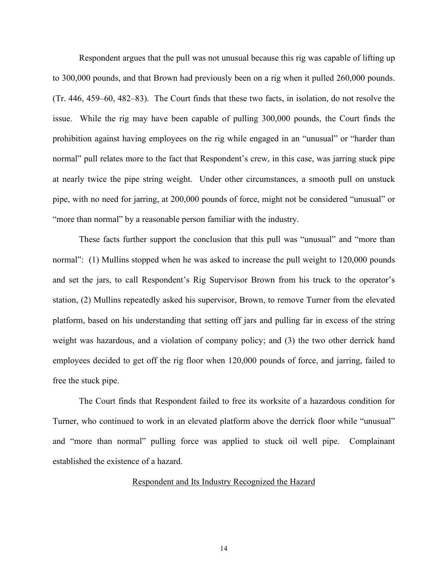Respondent argues that the pull was not unusual because this rig was capable of lifting up to 300,000 pounds, and that Brown had previously been on a rig when it pulled 260,000 pounds. (Tr. 446, 459–60, 482–83). The Court finds that these two facts, in isolation, do not resolve the issue. While the rig may have been capable of pulling 300,000 pounds, the Court finds the prohibition against having employees on the rig while engaged in an "unusual" or "harder than normal" pull relates more to the fact that Respondent's crew, in this case, was jarring stuck pipe at nearly twice the pipe string weight. Under other circumstances, a smooth pull on unstuck pipe, with no need for jarring, at 200,000 pounds of force, might not be considered "unusual" or "more than normal" by a reasonable person familiar with the industry.

These facts further support the conclusion that this pull was "unusual" and "more than normal": (1) Mullins stopped when he was asked to increase the pull weight to 120,000 pounds and set the jars, to call Respondent's Rig Supervisor Brown from his truck to the operator's station, (2) Mullins repeatedly asked his supervisor, Brown, to remove Turner from the elevated platform, based on his understanding that setting off jars and pulling far in excess of the string weight was hazardous, and a violation of company policy; and (3) the two other derrick hand employees decided to get off the rig floor when 120,000 pounds of force, and jarring, failed to free the stuck pipe.

The Court finds that Respondent failed to free its worksite of a hazardous condition for Turner, who continued to work in an elevated platform above the derrick floor while "unusual" and "more than normal" pulling force was applied to stuck oil well pipe. Complainant established the existence of a hazard.

# Respondent and Its Industry Recognized the Hazard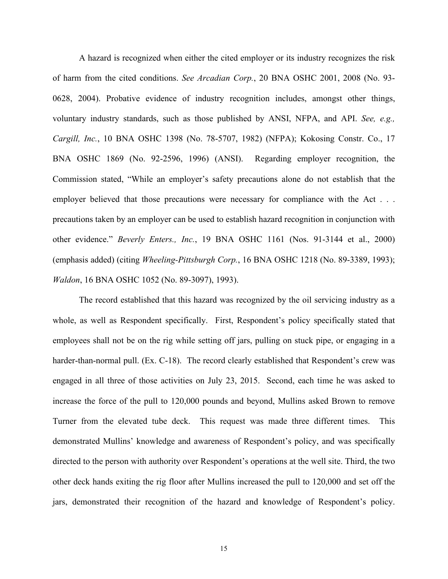A hazard is recognized when either the cited employer or its industry recognizes the risk of harm from the cited conditions. *See Arcadian Corp.*, 20 BNA OSHC 2001, 2008 (No. 93- 0628, 2004). Probative evidence of industry recognition includes, amongst other things, voluntary industry standards, such as those published by ANSI, NFPA, and API. *See, e.g., Cargill, Inc.*, 10 BNA OSHC 1398 (No. 78-5707, 1982) (NFPA); Kokosing Constr. Co., 17 BNA OSHC 1869 (No. 92-2596, 1996) (ANSI). Regarding employer recognition, the Commission stated, "While an employer's safety precautions alone do not establish that the employer believed that those precautions were necessary for compliance with the Act . . . precautions taken by an employer can be used to establish hazard recognition in conjunction with other evidence." *Beverly Enters., Inc.*, 19 BNA OSHC 1161 (Nos. 91-3144 et al., 2000) (emphasis added) (citing *Wheeling-Pittsburgh Corp.*, 16 BNA OSHC 1218 (No. 89-3389, 1993); *Waldon*, 16 BNA OSHC 1052 (No. 89-3097), 1993).

The record established that this hazard was recognized by the oil servicing industry as a whole, as well as Respondent specifically. First, Respondent's policy specifically stated that employees shall not be on the rig while setting off jars, pulling on stuck pipe, or engaging in a harder-than-normal pull. (Ex. C-18). The record clearly established that Respondent's crew was engaged in all three of those activities on July 23, 2015. Second, each time he was asked to increase the force of the pull to 120,000 pounds and beyond, Mullins asked Brown to remove Turner from the elevated tube deck. This request was made three different times. This demonstrated Mullins' knowledge and awareness of Respondent's policy, and was specifically directed to the person with authority over Respondent's operations at the well site. Third, the two other deck hands exiting the rig floor after Mullins increased the pull to 120,000 and set off the jars, demonstrated their recognition of the hazard and knowledge of Respondent's policy.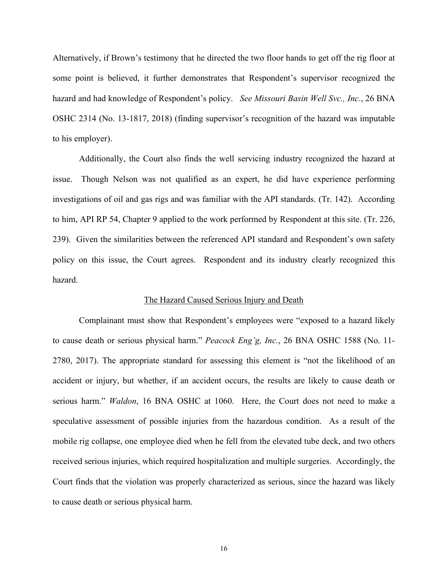Alternatively, if Brown's testimony that he directed the two floor hands to get off the rig floor at some point is believed, it further demonstrates that Respondent's supervisor recognized the hazard and had knowledge of Respondent's policy. *See Missouri Basin Well Svc., Inc.*, 26 BNA OSHC 2314 (No. 13-1817, 2018) (finding supervisor's recognition of the hazard was imputable to his employer).

Additionally, the Court also finds the well servicing industry recognized the hazard at issue. Though Nelson was not qualified as an expert, he did have experience performing investigations of oil and gas rigs and was familiar with the API standards. (Tr. 142). According to him, API RP 54, Chapter 9 applied to the work performed by Respondent at this site. (Tr. 226, 239). Given the similarities between the referenced API standard and Respondent's own safety policy on this issue, the Court agrees. Respondent and its industry clearly recognized this hazard.

## The Hazard Caused Serious Injury and Death

Complainant must show that Respondent's employees were "exposed to a hazard likely to cause death or serious physical harm." *Peacock Eng'g, Inc.*, 26 BNA OSHC 1588 (No. 11- 2780, 2017). The appropriate standard for assessing this element is "not the likelihood of an accident or injury, but whether, if an accident occurs, the results are likely to cause death or serious harm." *Waldon*, 16 BNA OSHC at 1060. Here, the Court does not need to make a speculative assessment of possible injuries from the hazardous condition. As a result of the mobile rig collapse, one employee died when he fell from the elevated tube deck, and two others received serious injuries, which required hospitalization and multiple surgeries. Accordingly, the Court finds that the violation was properly characterized as serious, since the hazard was likely to cause death or serious physical harm.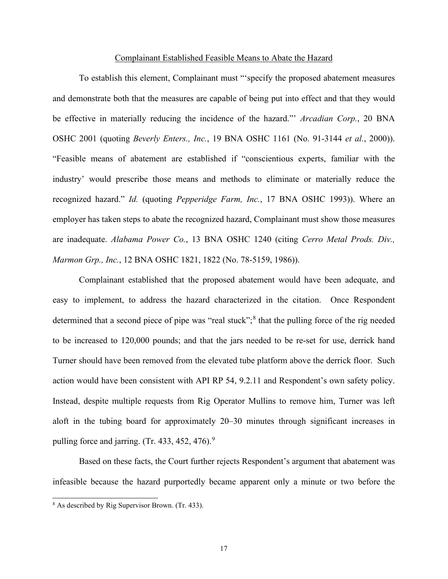## Complainant Established Feasible Means to Abate the Hazard

To establish this element, Complainant must "'specify the proposed abatement measures and demonstrate both that the measures are capable of being put into effect and that they would be effective in materially reducing the incidence of the hazard."' *Arcadian Corp.*, 20 BNA OSHC 2001 (quoting *Beverly Enters., Inc.*, 19 BNA OSHC 1161 (No. 91-3144 *et al.*, 2000)). "Feasible means of abatement are established if "conscientious experts, familiar with the industry' would prescribe those means and methods to eliminate or materially reduce the recognized hazard." *Id.* (quoting *Pepperidge Farm, Inc.*, 17 BNA OSHC 1993)). Where an employer has taken steps to abate the recognized hazard, Complainant must show those measures are inadequate. *Alabama Power Co.*, 13 BNA OSHC 1240 (citing *Cerro Metal Prods. Div., Marmon Grp., Inc.*, 12 BNA OSHC 1821, 1822 (No. 78-5159, 1986)).

 Complainant established that the proposed abatement would have been adequate, and easy to implement, to address the hazard characterized in the citation. Once Respondent determined that a second piece of pipe was "real stuck";<sup>[8](#page-16-0)</sup> that the pulling force of the rig needed to be increased to 120,000 pounds; and that the jars needed to be re-set for use, derrick hand Turner should have been removed from the elevated tube platform above the derrick floor. Such action would have been consistent with API RP 54, 9.2.11 and Respondent's own safety policy. Instead, despite multiple requests from Rig Operator Mullins to remove him, Turner was left aloft in the tubing board for approximately 20–30 minutes through significant increases in pulling force and jarring. (Tr. 433, 452, 476). $9$ 

Based on these facts, the Court further rejects Respondent's argument that abatement was infeasible because the hazard purportedly became apparent only a minute or two before the

<span id="page-16-1"></span><span id="page-16-0"></span><sup>8</sup> As described by Rig Supervisor Brown. (Tr. 433).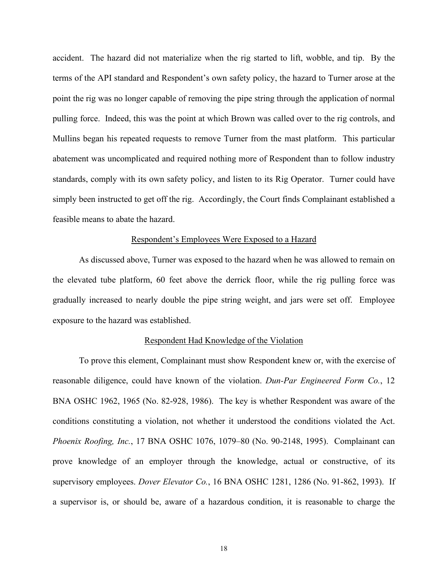accident. The hazard did not materialize when the rig started to lift, wobble, and tip. By the terms of the API standard and Respondent's own safety policy, the hazard to Turner arose at the point the rig was no longer capable of removing the pipe string through the application of normal pulling force. Indeed, this was the point at which Brown was called over to the rig controls, and Mullins began his repeated requests to remove Turner from the mast platform. This particular abatement was uncomplicated and required nothing more of Respondent than to follow industry standards, comply with its own safety policy, and listen to its Rig Operator. Turner could have simply been instructed to get off the rig. Accordingly, the Court finds Complainant established a feasible means to abate the hazard.

# Respondent's Employees Were Exposed to a Hazard

 As discussed above, Turner was exposed to the hazard when he was allowed to remain on the elevated tube platform, 60 feet above the derrick floor, while the rig pulling force was gradually increased to nearly double the pipe string weight, and jars were set off. Employee exposure to the hazard was established.

## Respondent Had Knowledge of the Violation

To prove this element, Complainant must show Respondent knew or, with the exercise of reasonable diligence, could have known of the violation. *Dun-Par Engineered Form Co.*, 12 BNA OSHC 1962, 1965 (No. 82-928, 1986). The key is whether Respondent was aware of the conditions constituting a violation, not whether it understood the conditions violated the Act. *Phoenix Roofing, Inc.*, 17 BNA OSHC 1076, 1079–80 (No. 90-2148, 1995). Complainant can prove knowledge of an employer through the knowledge, actual or constructive, of its supervisory employees. *Dover Elevator Co.*, 16 BNA OSHC 1281, 1286 (No. 91-862, 1993). If a supervisor is, or should be, aware of a hazardous condition, it is reasonable to charge the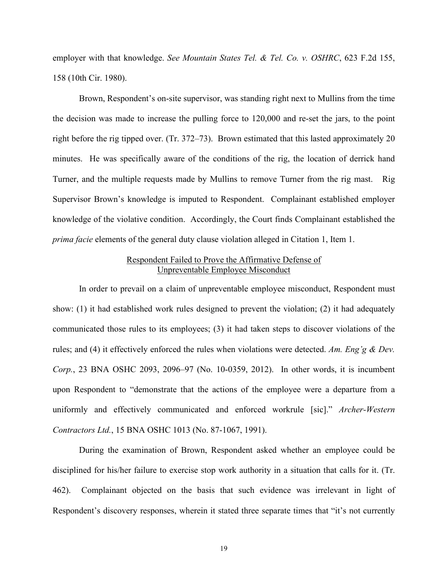employer with that knowledge. *See Mountain States Tel. & Tel. Co. v. OSHRC*, 623 F.2d 155, 158 (10th Cir. 1980).

Brown, Respondent's on-site supervisor, was standing right next to Mullins from the time the decision was made to increase the pulling force to 120,000 and re-set the jars, to the point right before the rig tipped over. (Tr. 372–73). Brown estimated that this lasted approximately 20 minutes. He was specifically aware of the conditions of the rig, the location of derrick hand Turner, and the multiple requests made by Mullins to remove Turner from the rig mast. Rig Supervisor Brown's knowledge is imputed to Respondent. Complainant established employer knowledge of the violative condition. Accordingly, the Court finds Complainant established the *prima facie* elements of the general duty clause violation alleged in Citation 1, Item 1.

# Respondent Failed to Prove the Affirmative Defense of Unpreventable Employee Misconduct

In order to prevail on a claim of unpreventable employee misconduct, Respondent must show: (1) it had established work rules designed to prevent the violation; (2) it had adequately communicated those rules to its employees; (3) it had taken steps to discover violations of the rules; and (4) it effectively enforced the rules when violations were detected. *Am. Eng'g & Dev. Corp.*, 23 BNA OSHC 2093, 2096–97 (No. 10-0359, 2012). In other words, it is incumbent upon Respondent to "demonstrate that the actions of the employee were a departure from a uniformly and effectively communicated and enforced workrule [sic]." *Archer-Western Contractors Ltd.*, 15 BNA OSHC 1013 (No. 87-1067, 1991).

During the examination of Brown, Respondent asked whether an employee could be disciplined for his/her failure to exercise stop work authority in a situation that calls for it. (Tr. 462). Complainant objected on the basis that such evidence was irrelevant in light of Respondent's discovery responses, wherein it stated three separate times that "it's not currently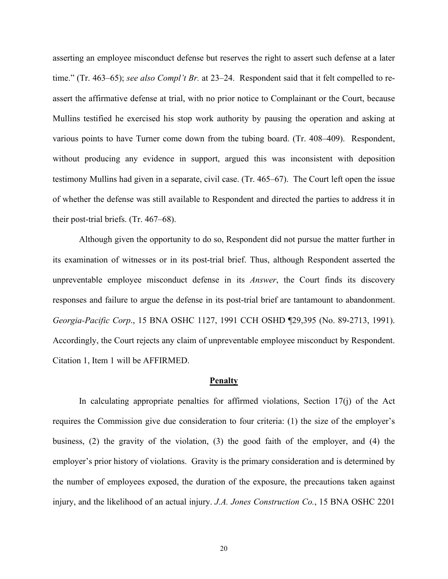asserting an employee misconduct defense but reserves the right to assert such defense at a later time." (Tr. 463–65); *see also Compl't Br.* at 23–24. Respondent said that it felt compelled to reassert the affirmative defense at trial, with no prior notice to Complainant or the Court, because Mullins testified he exercised his stop work authority by pausing the operation and asking at various points to have Turner come down from the tubing board. (Tr. 408–409). Respondent, without producing any evidence in support, argued this was inconsistent with deposition testimony Mullins had given in a separate, civil case. (Tr. 465–67). The Court left open the issue of whether the defense was still available to Respondent and directed the parties to address it in their post-trial briefs. (Tr. 467–68).

Although given the opportunity to do so, Respondent did not pursue the matter further in its examination of witnesses or in its post-trial brief. Thus, although Respondent asserted the unpreventable employee misconduct defense in its *Answer*, the Court finds its discovery responses and failure to argue the defense in its post-trial brief are tantamount to abandonment. *Georgia-Pacific Corp*., 15 BNA OSHC 1127, 1991 CCH OSHD ¶29,395 (No. 89-2713, 1991). Accordingly, the Court rejects any claim of unpreventable employee misconduct by Respondent. Citation 1, Item 1 will be AFFIRMED.

### **Penalty**

In calculating appropriate penalties for affirmed violations, Section  $17(i)$  of the Act requires the Commission give due consideration to four criteria: (1) the size of the employer's business, (2) the gravity of the violation, (3) the good faith of the employer, and (4) the employer's prior history of violations. Gravity is the primary consideration and is determined by the number of employees exposed, the duration of the exposure, the precautions taken against injury, and the likelihood of an actual injury. *J.A. Jones Construction Co.*, 15 BNA OSHC 2201